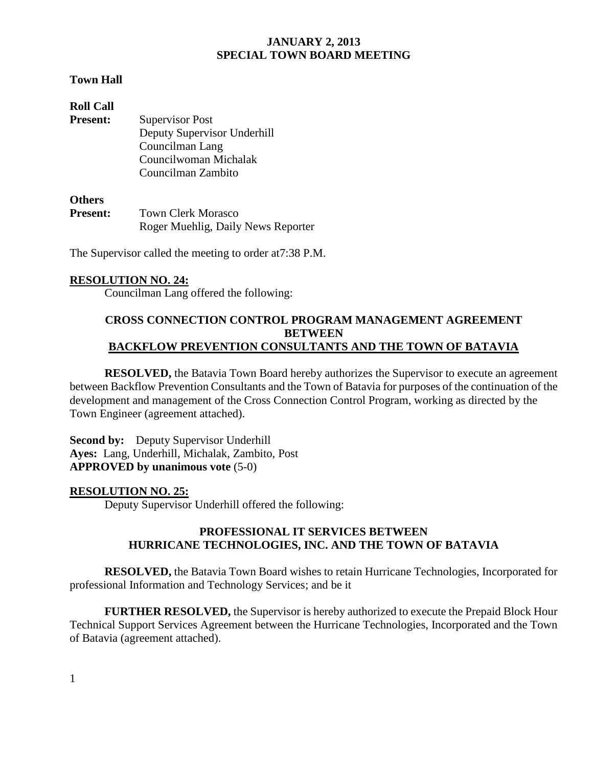## **Town Hall**

| <b>Roll Call</b> |                             |
|------------------|-----------------------------|
| <b>Present:</b>  | Supervisor Post             |
|                  | Deputy Supervisor Underhill |
|                  | Councilman Lang             |
|                  | Councilwoman Michalak       |
|                  | Councilman Zambito          |

## **Others**

| ----------      |                                    |
|-----------------|------------------------------------|
| <b>Present:</b> | <b>Town Clerk Morasco</b>          |
|                 | Roger Muehlig, Daily News Reporter |

The Supervisor called the meeting to order at7:38 P.M.

## **RESOLUTION NO. 24:**

Councilman Lang offered the following:

#### **CROSS CONNECTION CONTROL PROGRAM MANAGEMENT AGREEMENT BETWEEN BACKFLOW PREVENTION CONSULTANTS AND THE TOWN OF BATAVIA**

**RESOLVED,** the Batavia Town Board hereby authorizes the Supervisor to execute an agreement between Backflow Prevention Consultants and the Town of Batavia for purposes of the continuation of the development and management of the Cross Connection Control Program, working as directed by the Town Engineer (agreement attached).

**Second by:** Deputy Supervisor Underhill **Ayes:** Lang, Underhill, Michalak, Zambito, Post **APPROVED by unanimous vote** (5-0)

#### **RESOLUTION NO. 25:**

Deputy Supervisor Underhill offered the following:

## **PROFESSIONAL IT SERVICES BETWEEN HURRICANE TECHNOLOGIES, INC. AND THE TOWN OF BATAVIA**

**RESOLVED,** the Batavia Town Board wishes to retain Hurricane Technologies, Incorporated for professional Information and Technology Services; and be it

**FURTHER RESOLVED,** the Supervisor is hereby authorized to execute the Prepaid Block Hour Technical Support Services Agreement between the Hurricane Technologies, Incorporated and the Town of Batavia (agreement attached).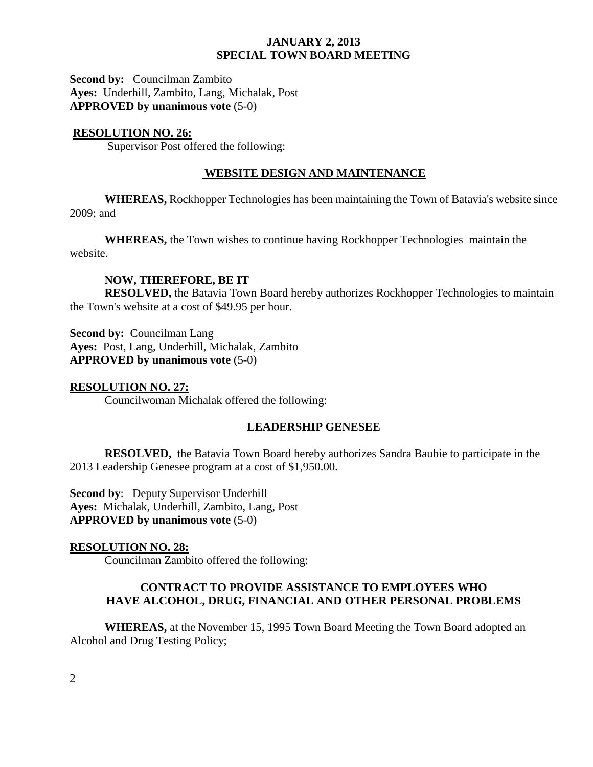**Second by:** Councilman Zambito **Ayes:** Underhill, Zambito, Lang, Michalak, Post **APPROVED by unanimous vote** (5-0)

#### **RESOLUTION NO. 26:**

Supervisor Post offered the following:

## **WEBSITE DESIGN AND MAINTENANCE**

**WHEREAS,** Rockhopper Technologies has been maintaining the Town of Batavia's website since 2009; and

**WHEREAS,** the Town wishes to continue having Rockhopper Technologies maintain the website.

#### **NOW, THEREFORE, BE IT**

**RESOLVED,** the Batavia Town Board hereby authorizes Rockhopper Technologies to maintain the Town's website at a cost of \$49.95 per hour.

**Second by:** Councilman Lang **Ayes:** Post, Lang, Underhill, Michalak, Zambito **APPROVED by unanimous vote** (5-0)

**RESOLUTION NO. 27:** Councilwoman Michalak offered the following:

#### **LEADERSHIP GENESEE**

**RESOLVED,** the Batavia Town Board hereby authorizes Sandra Baubie to participate in the 2013 Leadership Genesee program at a cost of \$1,950.00.

**Second by:** Deputy Supervisor Underhill **Ayes:** Michalak, Underhill, Zambito, Lang, Post **APPROVED by unanimous vote** (5-0)

#### **RESOLUTION NO. 28:**

Councilman Zambito offered the following:

## **CONTRACT TO PROVIDE ASSISTANCE TO EMPLOYEES WHO HAVE ALCOHOL, DRUG, FINANCIAL AND OTHER PERSONAL PROBLEMS**

**WHEREAS,** at the November 15, 1995 Town Board Meeting the Town Board adopted an Alcohol and Drug Testing Policy;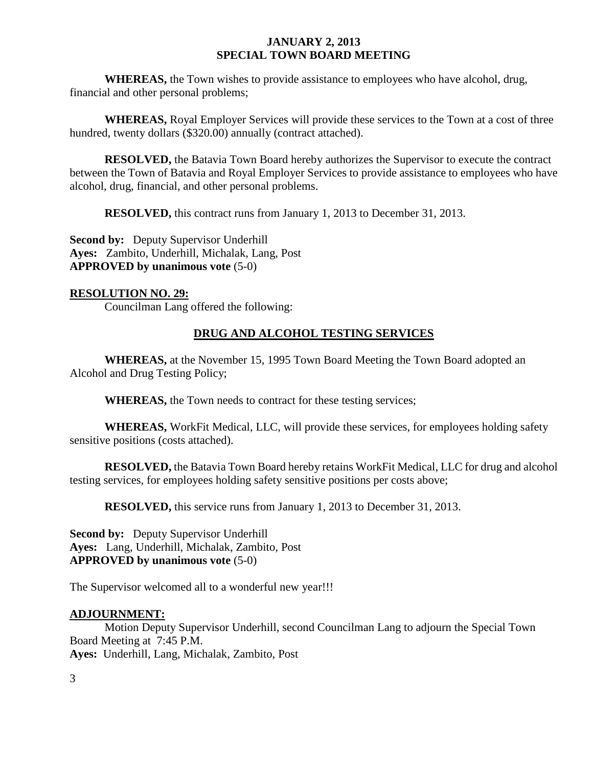**WHEREAS,** the Town wishes to provide assistance to employees who have alcohol, drug, financial and other personal problems;

**WHEREAS,** Royal Employer Services will provide these services to the Town at a cost of three hundred, twenty dollars (\$320.00) annually (contract attached).

**RESOLVED,** the Batavia Town Board hereby authorizes the Supervisor to execute the contract between the Town of Batavia and Royal Employer Services to provide assistance to employees who have alcohol, drug, financial, and other personal problems.

**RESOLVED,** this contract runs from January 1, 2013 to December 31, 2013.

**Second by:** Deputy Supervisor Underhill **Ayes:** Zambito, Underhill, Michalak, Lang, Post **APPROVED by unanimous vote** (5-0)

#### **RESOLUTION NO. 29:**

Councilman Lang offered the following:

## **DRUG AND ALCOHOL TESTING SERVICES**

**WHEREAS,** at the November 15, 1995 Town Board Meeting the Town Board adopted an Alcohol and Drug Testing Policy;

**WHEREAS,** the Town needs to contract for these testing services;

**WHEREAS,** WorkFit Medical, LLC, will provide these services, for employees holding safety sensitive positions (costs attached).

**RESOLVED,** the Batavia Town Board hereby retains WorkFit Medical, LLC for drug and alcohol testing services, for employees holding safety sensitive positions per costs above;

**RESOLVED,** this service runs from January 1, 2013 to December 31, 2013.

**Second by:** Deputy Supervisor Underhill **Ayes:** Lang, Underhill, Michalak, Zambito, Post **APPROVED by unanimous vote** (5-0)

The Supervisor welcomed all to a wonderful new year!!!

#### **ADJOURNMENT:**

Motion Deputy Supervisor Underhill, second Councilman Lang to adjourn the Special Town Board Meeting at 7:45 P.M.

**Ayes:** Underhill, Lang, Michalak, Zambito, Post